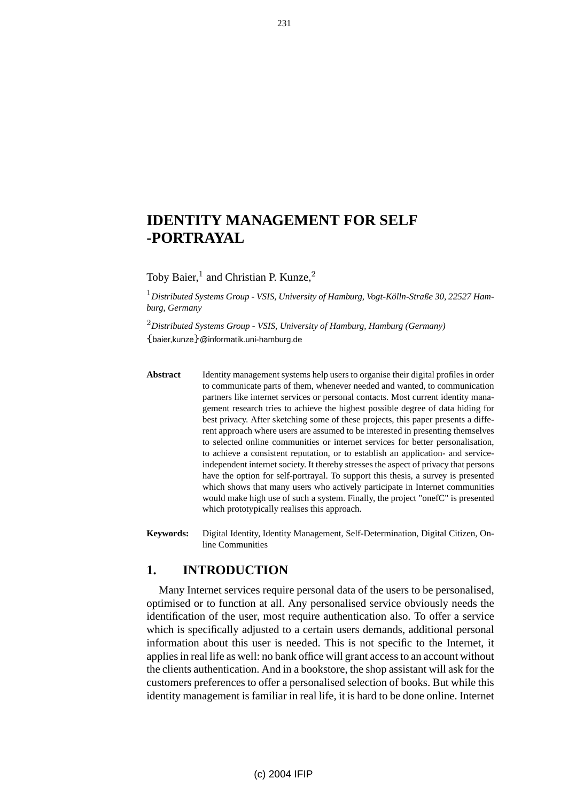# **IDENTITY MANAGEMENT FOR SELF -PORTRAYAL**

### Toby Baier,<sup>1</sup> and Christian P. Kunze,<sup>2</sup>

<sup>1</sup>*Distributed Systems Group - VSIS, University of Hamburg, Vogt-Kolln-Straße 30, 22527 Ham- ¨ burg, Germany*

<sup>2</sup>*Distributed Systems Group - VSIS, University of Hamburg, Hamburg (Germany)* {baier,kunze}@informatik.uni-hamburg.de

- **Abstract** Identity management systems help users to organise their digital profiles in order to communicate parts of them, whenever needed and wanted, to communication partners like internet services or personal contacts. Most current identity management research tries to achieve the highest possible degree of data hiding for best privacy. After sketching some of these projects, this paper presents a different approach where users are assumed to be interested in presenting themselves to selected online communities or internet services for better personalisation, to achieve a consistent reputation, or to establish an application- and serviceindependent internet society. It thereby stresses the aspect of privacy that persons have the option for self-portrayal. To support this thesis, a survey is presented which shows that many users who actively participate in Internet communities would make high use of such a system. Finally, the project "onefC" is presented which prototypically realises this approach.
- **Keywords:** Digital Identity, Identity Management, Self-Determination, Digital Citizen, Online Communities

### **1. INTRODUCTION**

Many Internet services require personal data of the users to be personalised, optimised or to function at all. Any personalised service obviously needs the identification of the user, most require authentication also. To offer a service which is specifically adjusted to a certain users demands, additional personal information about this user is needed. This is not specific to the Internet, it applies in real life as well: no bank office will grant access to an account without the clients authentication. And in a bookstore, the shop assistant will ask for the customers preferences to offer a personalised selection of books. But while this identity management is familiar in real life, it is hard to be done online. Internet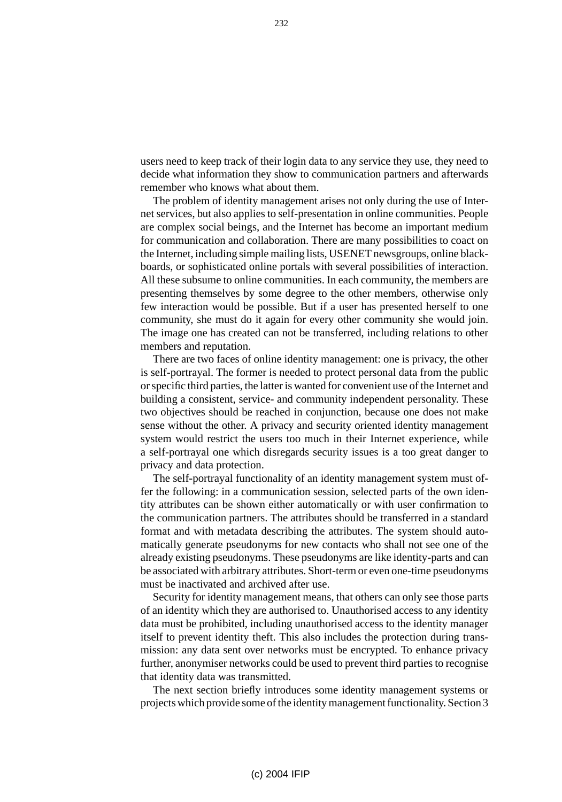users need to keep track of their login data to any service they use, they need to decide what information they show to communication partners and afterwards remember who knows what about them.

The problem of identity management arises not only during the use of Internet services, but also applies to self-presentation in online communities. People are complex social beings, and the Internet has become an important medium for communication and collaboration. There are many possibilities to coact on the Internet, including simple mailing lists, USENET newsgroups, online blackboards, or sophisticated online portals with several possibilities of interaction. All these subsume to online communities. In each community, the members are presenting themselves by some degree to the other members, otherwise only few interaction would be possible. But if a user has presented herself to one community, she must do it again for every other community she would join. The image one has created can not be transferred, including relations to other members and reputation.

There are two faces of online identity management: one is privacy, the other is self-portrayal. The former is needed to protect personal data from the public or specific third parties, the latter is wanted for convenient use of the Internet and building a consistent, service- and community independent personality. These two objectives should be reached in conjunction, because one does not make sense without the other. A privacy and security oriented identity management system would restrict the users too much in their Internet experience, while a self-portrayal one which disregards security issues is a too great danger to privacy and data protection.

The self-portrayal functionality of an identity management system must offer the following: in a communication session, selected parts of the own identity attributes can be shown either automatically or with user confirmation to the communication partners. The attributes should be transferred in a standard format and with metadata describing the attributes. The system should automatically generate pseudonyms for new contacts who shall not see one of the already existing pseudonyms. These pseudonyms are like identity-parts and can be associated with arbitrary attributes. Short-term or even one-time pseudonyms must be inactivated and archived after use.

Security for identity management means, that others can only see those parts of an identity which they are authorised to. Unauthorised access to any identity data must be prohibited, including unauthorised access to the identity manager itself to prevent identity theft. This also includes the protection during transmission: any data sent over networks must be encrypted. To enhance privacy further, anonymiser networks could be used to prevent third parties to recognise that identity data was transmitted.

The next section briefly introduces some identity management systems or projects which provide some of the identity management functionality. Section 3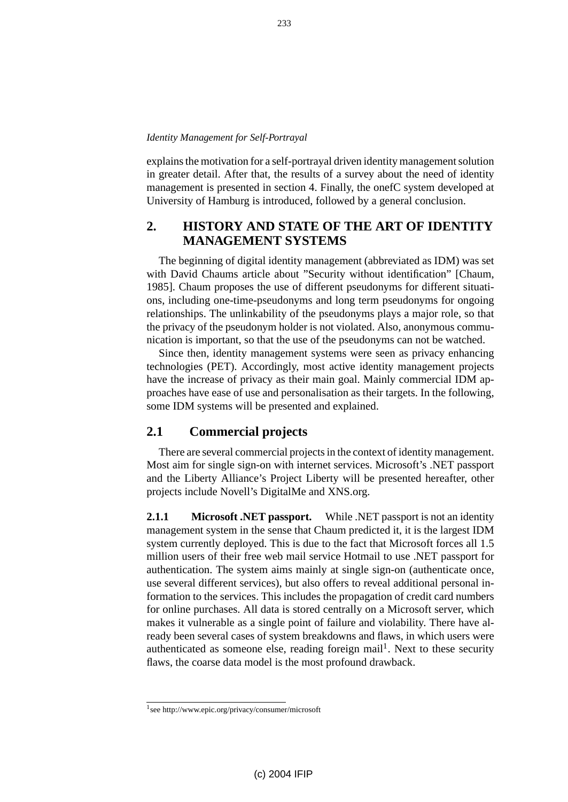explains the motivation for a self-portrayal driven identity management solution in greater detail. After that, the results of a survey about the need of identity management is presented in section 4. Finally, the onefC system developed at University of Hamburg is introduced, followed by a general conclusion.

## **2. HISTORY AND STATE OF THE ART OF IDENTITY MANAGEMENT SYSTEMS**

The beginning of digital identity management (abbreviated as IDM) was set with David Chaums article about "Security without identification" [Chaum, 1985]. Chaum proposes the use of different pseudonyms for different situations, including one-time-pseudonyms and long term pseudonyms for ongoing relationships. The unlinkability of the pseudonyms plays a major role, so that the privacy of the pseudonym holder is not violated. Also, anonymous communication is important, so that the use of the pseudonyms can not be watched.

Since then, identity management systems were seen as privacy enhancing technologies (PET). Accordingly, most active identity management projects have the increase of privacy as their main goal. Mainly commercial IDM approaches have ease of use and personalisation as their targets. In the following, some IDM systems will be presented and explained.

## **2.1 Commercial projects**

There are several commercial projects in the context of identity management. Most aim for single sign-on with internet services. Microsoft's .NET passport and the Liberty Alliance's Project Liberty will be presented hereafter, other projects include Novell's DigitalMe and XNS.org.

2.1.1 Microsoft .NET passport. While .NET passport is not an identity management system in the sense that Chaum predicted it, it is the largest IDM system currently deployed. This is due to the fact that Microsoft forces all 1.5 million users of their free web mail service Hotmail to use .NET passport for authentication. The system aims mainly at single sign-on (authenticate once, use several different services), but also offers to reveal additional personal information to the services. This includes the propagation of credit card numbers for online purchases. All data is stored centrally on a Microsoft server, which makes it vulnerable as a single point of failure and violability. There have already been several cases of system breakdowns and flaws, in which users were authenticated as someone else, reading foreign mail<sup>1</sup>. Next to these security flaws, the coarse data model is the most profound drawback.

 $^{\rm 1}$ see http://www.epic.org/privacy/consumer/microsoft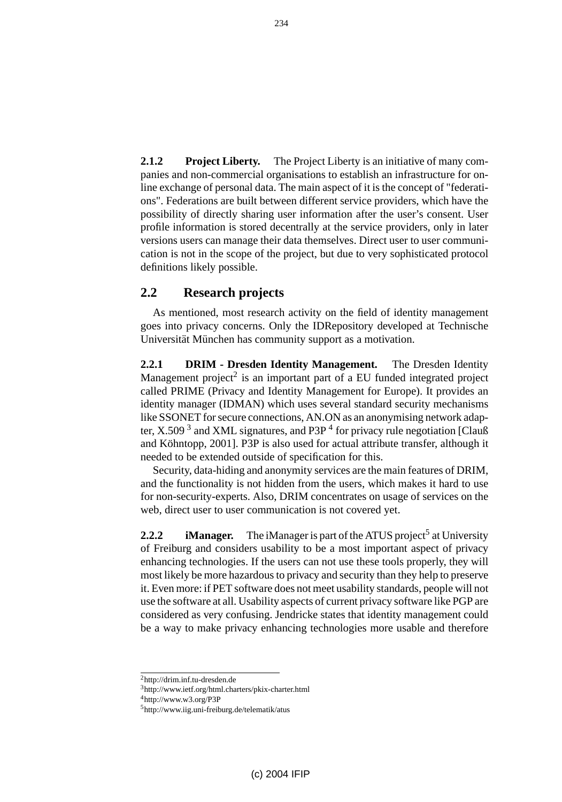**2.1.2 Project Liberty.** The Project Liberty is an initiative of many companies and non-commercial organisations to establish an infrastructure for online exchange of personal data. The main aspect of it is the concept of "federations". Federations are built between different service providers, which have the possibility of directly sharing user information after the user's consent. User profile information is stored decentrally at the service providers, only in later versions users can manage their data themselves. Direct user to user communication is not in the scope of the project, but due to very sophisticated protocol definitions likely possible.

### **2.2 Research projects**

As mentioned, most research activity on the field of identity management goes into privacy concerns. Only the IDRepository developed at Technische Universität München has community support as a motivation.

**2.2.1 DRIM - Dresden Identity Management.** The Dresden Identity Management project<sup>2</sup> is an important part of a EU funded integrated project called PRIME (Privacy and Identity Management for Europe). It provides an identity manager (IDMAN) which uses several standard security mechanisms like SSONET for secure connections, AN.ON as an anonymising network adapter, X.509<sup>3</sup> and XML signatures, and P3P<sup>4</sup> for privacy rule negotiation [Clauß] and Köhntopp, 2001]. P3P is also used for actual attribute transfer, although it needed to be extended outside of specification for this.

Security, data-hiding and anonymity services are the main features of DRIM, and the functionality is not hidden from the users, which makes it hard to use for non-security-experts. Also, DRIM concentrates on usage of services on the web, direct user to user communication is not covered yet.

**2.2.2 iManager.** The iManager is part of the ATUS project<sup>5</sup> at University of Freiburg and considers usability to be a most important aspect of privacy enhancing technologies. If the users can not use these tools properly, they will most likely be more hazardous to privacy and security than they help to preserve it. Even more: if PET software does not meet usability standards, people will not use the software at all. Usability aspects of current privacy software like PGP are considered as very confusing. Jendricke states that identity management could be a way to make privacy enhancing technologies more usable and therefore

<sup>2</sup>http://drim.inf.tu-dresden.de

<sup>3</sup>http://www.ietf.org/html.charters/pkix-charter.html

<sup>4</sup>http://www.w3.org/P3P

<sup>5</sup>http://www.iig.uni-freiburg.de/telematik/atus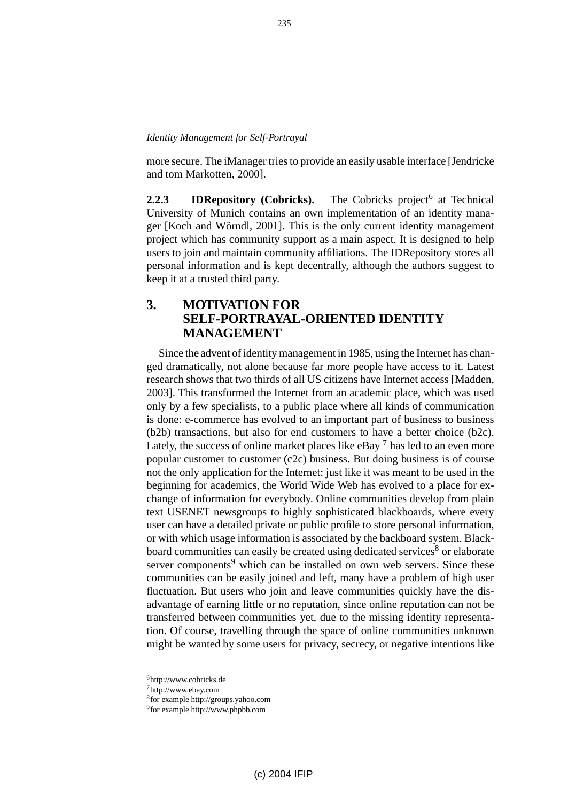more secure. The iManager tries to provide an easily usable interface [Jendricke and tom Markotten, 2000].

**2.2.3 IDRepository (Cobricks).** The Cobricks project<sup>6</sup> at Technical University of Munich contains an own implementation of an identity manager [Koch and Wörndl, 2001]. This is the only current identity management project which has community support as a main aspect. It is designed to help users to join and maintain community affiliations. The IDRepository stores all personal information and is kept decentrally, although the authors suggest to keep it at a trusted third party.

## **3. MOTIVATION FOR SELF-PORTRAYAL-ORIENTED IDENTITY MANAGEMENT**

Since the advent of identity management in 1985, using the Internet has changed dramatically, not alone because far more people have access to it. Latest research shows that two thirds of all US citizens have Internet access [Madden, 2003]. This transformed the Internet from an academic place, which was used only by a few specialists, to a public place where all kinds of communication is done: e-commerce has evolved to an important part of business to business (b2b) transactions, but also for end customers to have a better choice (b2c). Lately, the success of online market places like  $eBay<sup>7</sup>$  has led to an even more popular customer to customer (c2c) business. But doing business is of course not the only application for the Internet: just like it was meant to be used in the beginning for academics, the World Wide Web has evolved to a place for exchange of information for everybody. Online communities develop from plain text USENET newsgroups to highly sophisticated blackboards, where every user can have a detailed private or public profile to store personal information, or with which usage information is associated by the backboard system. Blackboard communities can easily be created using dedicated services<sup>8</sup> or elaborate server components<sup>9</sup> which can be installed on own web servers. Since these communities can be easily joined and left, many have a problem of high user fluctuation. But users who join and leave communities quickly have the disadvantage of earning little or no reputation, since online reputation can not be transferred between communities yet, due to the missing identity representation. Of course, travelling through the space of online communities unknown might be wanted by some users for privacy, secrecy, or negative intentions like

<sup>6</sup>http://www.cobricks.de

 $7$ http://www.ebay.com

<sup>8</sup>for example http://groups.yahoo.com

<sup>9</sup>for example http://www.phpbb.com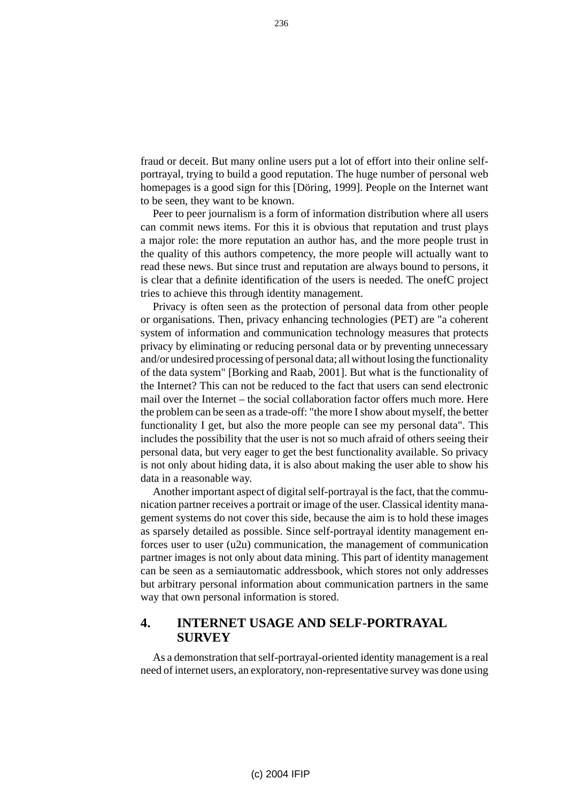fraud or deceit. But many online users put a lot of effort into their online selfportrayal, trying to build a good reputation. The huge number of personal web homepages is a good sign for this [Döring, 1999]. People on the Internet want to be seen, they want to be known.

Peer to peer journalism is a form of information distribution where all users can commit news items. For this it is obvious that reputation and trust plays a major role: the more reputation an author has, and the more people trust in the quality of this authors competency, the more people will actually want to read these news. But since trust and reputation are always bound to persons, it is clear that a definite identification of the users is needed. The onefC project tries to achieve this through identity management.

Privacy is often seen as the protection of personal data from other people or organisations. Then, privacy enhancing technologies (PET) are "a coherent system of information and communication technology measures that protects privacy by eliminating or reducing personal data or by preventing unnecessary and/or undesired processing of personal data; all without losing the functionality of the data system" [Borking and Raab, 2001]. But what is the functionality of the Internet? This can not be reduced to the fact that users can send electronic mail over the Internet – the social collaboration factor offers much more. Here the problem can be seen as a trade-off: "the more I show about myself, the better functionality I get, but also the more people can see my personal data". This includes the possibility that the user is not so much afraid of others seeing their personal data, but very eager to get the best functionality available. So privacy is not only about hiding data, it is also about making the user able to show his data in a reasonable way.

Another important aspect of digital self-portrayal is the fact, that the communication partner receives a portrait or image of the user. Classical identity management systems do not cover this side, because the aim is to hold these images as sparsely detailed as possible. Since self-portrayal identity management enforces user to user (u2u) communication, the management of communication partner images is not only about data mining. This part of identity management can be seen as a semiautomatic addressbook, which stores not only addresses but arbitrary personal information about communication partners in the same way that own personal information is stored.

### **4. INTERNET USAGE AND SELF-PORTRAYAL SURVEY**

As a demonstration that self-portrayal-oriented identity management is a real need of internet users, an exploratory, non-representative survey was done using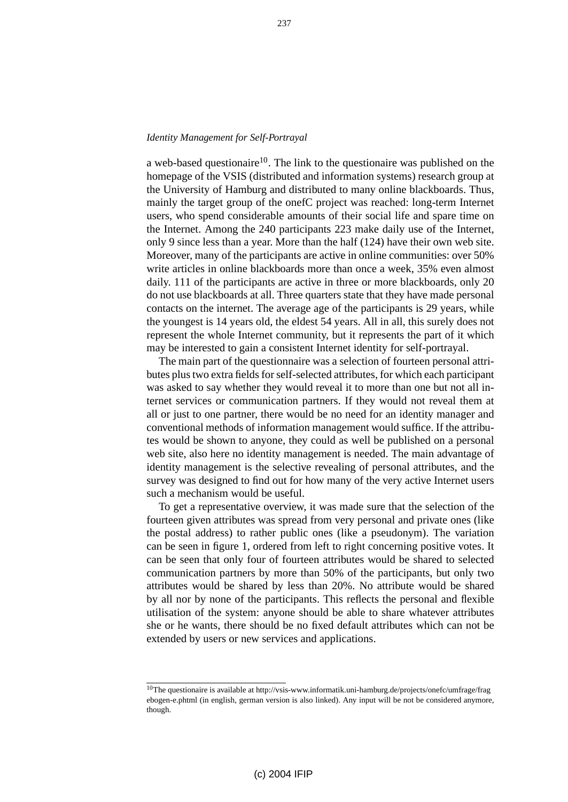#### *Identity Management for Self-Portrayal*

a web-based questionaire<sup>10</sup>. The link to the questionaire was published on the homepage of the VSIS (distributed and information systems) research group at the University of Hamburg and distributed to many online blackboards. Thus, mainly the target group of the onefC project was reached: long-term Internet users, who spend considerable amounts of their social life and spare time on the Internet. Among the 240 participants 223 make daily use of the Internet, only 9 since less than a year. More than the half (124) have their own web site. Moreover, many of the participants are active in online communities: over 50% write articles in online blackboards more than once a week, 35% even almost daily. 111 of the participants are active in three or more blackboards, only 20 do not use blackboards at all. Three quarters state that they have made personal contacts on the internet. The average age of the participants is 29 years, while the youngest is 14 years old, the eldest 54 years. All in all, this surely does not represent the whole Internet community, but it represents the part of it which may be interested to gain a consistent Internet identity for self-portrayal.

The main part of the questionnaire was a selection of fourteen personal attributes plus two extra fields for self-selected attributes, for which each participant was asked to say whether they would reveal it to more than one but not all internet services or communication partners. If they would not reveal them at all or just to one partner, there would be no need for an identity manager and conventional methods of information management would suffice. If the attributes would be shown to anyone, they could as well be published on a personal web site, also here no identity management is needed. The main advantage of identity management is the selective revealing of personal attributes, and the survey was designed to find out for how many of the very active Internet users such a mechanism would be useful.

To get a representative overview, it was made sure that the selection of the fourteen given attributes was spread from very personal and private ones (like the postal address) to rather public ones (like a pseudonym). The variation can be seen in figure 1, ordered from left to right concerning positive votes. It can be seen that only four of fourteen attributes would be shared to selected communication partners by more than 50% of the participants, but only two attributes would be shared by less than 20%. No attribute would be shared by all nor by none of the participants. This reflects the personal and flexible utilisation of the system: anyone should be able to share whatever attributes she or he wants, there should be no fixed default attributes which can not be extended by users or new services and applications.

<sup>&</sup>lt;sup>10</sup>The questionaire is available at http://vsis-www.informatik.uni-hamburg.de/projects/onefc/umfrage/frag ebogen-e.phtml (in english, german version is also linked). Any input will be not be considered anymore, though.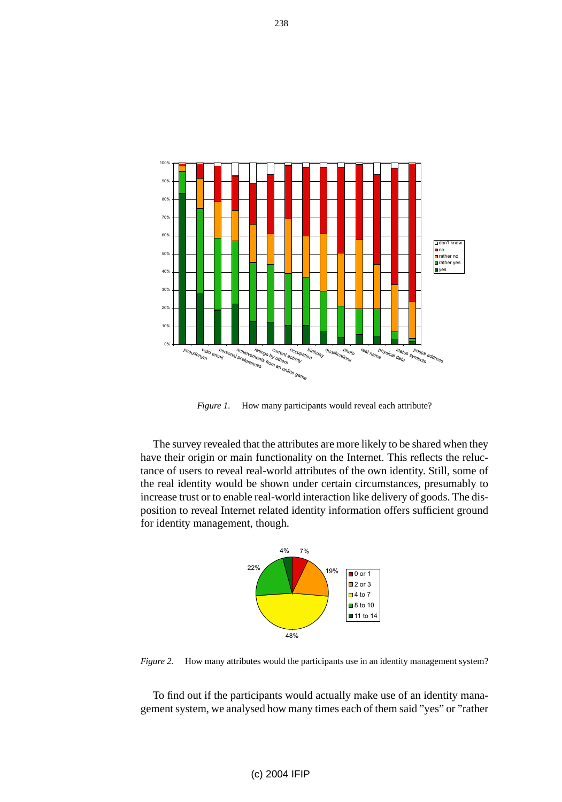

*Figure 1.* How many participants would reveal each attribute?

The survey revealed that the attributes are more likely to be shared when they have their origin or main functionality on the Internet. This reflects the reluctance of users to reveal real-world attributes of the own identity. Still, some of the real identity would be shown under certain circumstances, presumably to increase trust or to enable real-world interaction like delivery of goods. The disposition to reveal Internet related identity information offers sufficient ground for identity management, though.



*Figure 2.* How many attributes would the participants use in an identity management system?

To find out if the participants would actually make use of an identity management system, we analysed how many times each of them said "yes" or "rather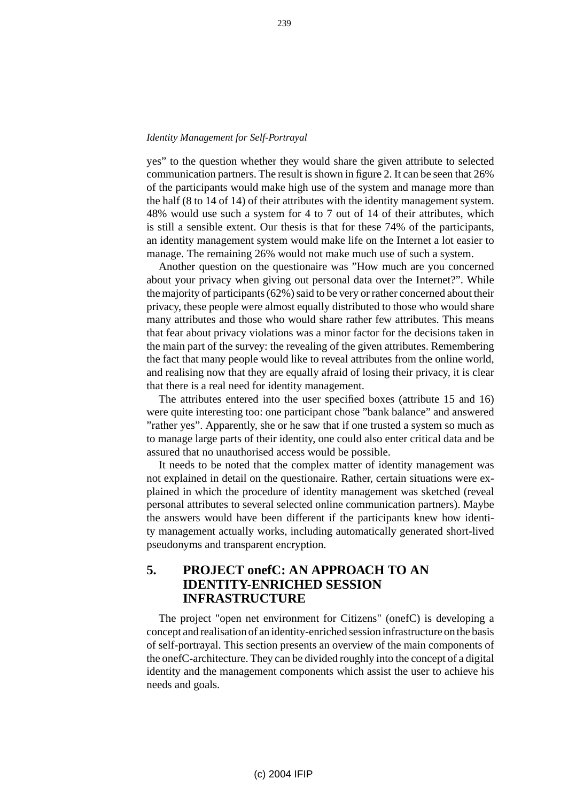#### *Identity Management for Self-Portrayal*

yes" to the question whether they would share the given attribute to selected communication partners. The result is shown in figure 2. It can be seen that 26% of the participants would make high use of the system and manage more than the half (8 to 14 of 14) of their attributes with the identity management system. 48% would use such a system for 4 to 7 out of 14 of their attributes, which is still a sensible extent. Our thesis is that for these 74% of the participants, an identity management system would make life on the Internet a lot easier to manage. The remaining 26% would not make much use of such a system.

Another question on the questionaire was "How much are you concerned about your privacy when giving out personal data over the Internet?". While the majority of participants (62%) said to be very or rather concerned about their privacy, these people were almost equally distributed to those who would share many attributes and those who would share rather few attributes. This means that fear about privacy violations was a minor factor for the decisions taken in the main part of the survey: the revealing of the given attributes. Remembering the fact that many people would like to reveal attributes from the online world, and realising now that they are equally afraid of losing their privacy, it is clear that there is a real need for identity management.

The attributes entered into the user specified boxes (attribute 15 and 16) were quite interesting too: one participant chose "bank balance" and answered "rather yes". Apparently, she or he saw that if one trusted a system so much as to manage large parts of their identity, one could also enter critical data and be assured that no unauthorised access would be possible.

It needs to be noted that the complex matter of identity management was not explained in detail on the questionaire. Rather, certain situations were explained in which the procedure of identity management was sketched (reveal personal attributes to several selected online communication partners). Maybe the answers would have been different if the participants knew how identity management actually works, including automatically generated short-lived pseudonyms and transparent encryption.

## **5. PROJECT onefC: AN APPROACH TO AN IDENTITY-ENRICHED SESSION INFRASTRUCTURE**

The project "open net environment for Citizens" (onefC) is developing a concept and realisation of an identity-enriched session infrastructure on the basis of self-portrayal. This section presents an overview of the main components of the onefC-architecture. They can be divided roughly into the concept of a digital identity and the management components which assist the user to achieve his needs and goals.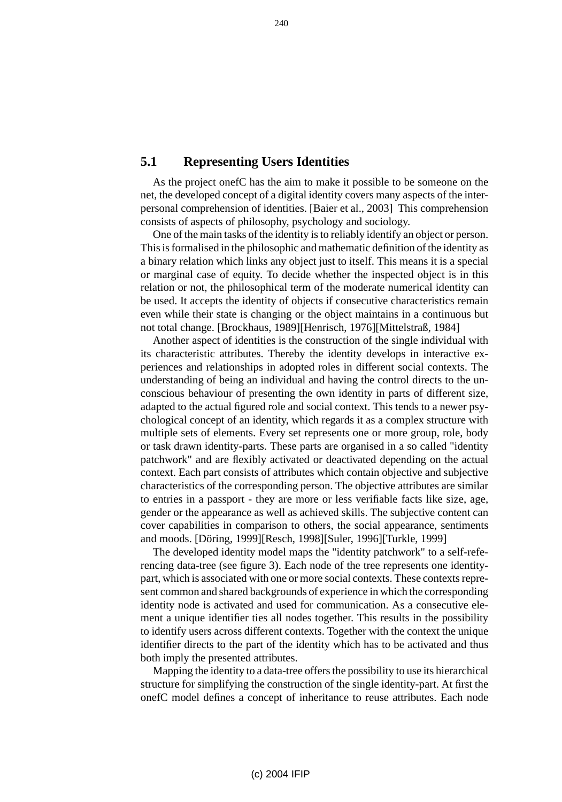### **5.1 Representing Users Identities**

As the project onefC has the aim to make it possible to be someone on the net, the developed concept of a digital identity covers many aspects of the interpersonal comprehension of identities. [Baier et al., 2003] This comprehension consists of aspects of philosophy, psychology and sociology.

One of the main tasks of the identity is to reliably identify an object or person. This is formalised in the philosophic and mathematic definition of the identity as a binary relation which links any object just to itself. This means it is a special or marginal case of equity. To decide whether the inspected object is in this relation or not, the philosophical term of the moderate numerical identity can be used. It accepts the identity of objects if consecutive characteristics remain even while their state is changing or the object maintains in a continuous but not total change. [Brockhaus, 1989][Henrisch, 1976][Mittelstraß, 1984]

Another aspect of identities is the construction of the single individual with its characteristic attributes. Thereby the identity develops in interactive experiences and relationships in adopted roles in different social contexts. The understanding of being an individual and having the control directs to the unconscious behaviour of presenting the own identity in parts of different size, adapted to the actual figured role and social context. This tends to a newer psychological concept of an identity, which regards it as a complex structure with multiple sets of elements. Every set represents one or more group, role, body or task drawn identity-parts. These parts are organised in a so called "identity patchwork" and are flexibly activated or deactivated depending on the actual context. Each part consists of attributes which contain objective and subjective characteristics of the corresponding person. The objective attributes are similar to entries in a passport - they are more or less verifiable facts like size, age, gender or the appearance as well as achieved skills. The subjective content can cover capabilities in comparison to others, the social appearance, sentiments and moods. [Döring, 1999][Resch, 1998][Suler, 1996][Turkle, 1999]

The developed identity model maps the "identity patchwork" to a self-referencing data-tree (see figure 3). Each node of the tree represents one identitypart, which is associated with one or more social contexts. These contexts represent common and shared backgrounds of experience in which the corresponding identity node is activated and used for communication. As a consecutive element a unique identifier ties all nodes together. This results in the possibility to identify users across different contexts. Together with the context the unique identifier directs to the part of the identity which has to be activated and thus both imply the presented attributes.

Mapping the identity to a data-tree offers the possibility to use its hierarchical structure for simplifying the construction of the single identity-part. At first the onefC model defines a concept of inheritance to reuse attributes. Each node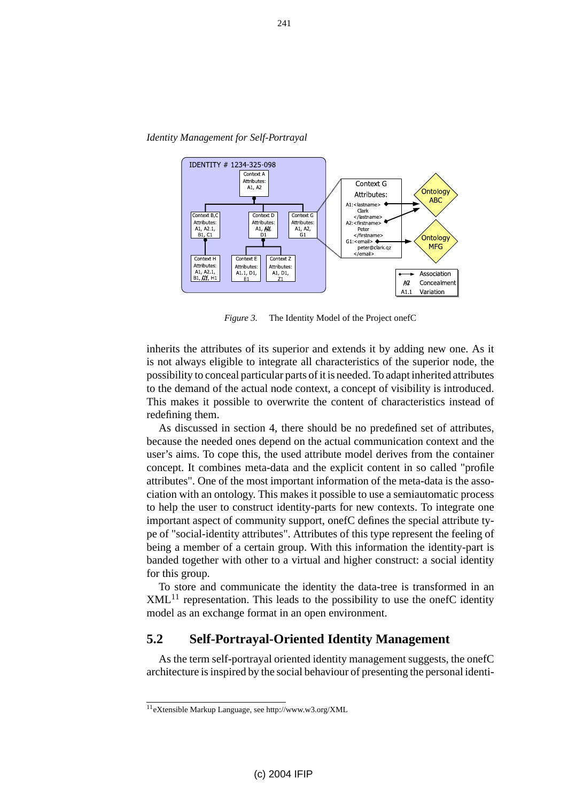

*Identity Management for Self-Portrayal*

*Figure 3.* The Identity Model of the Project onefC

inherits the attributes of its superior and extends it by adding new one. As it is not always eligible to integrate all characteristics of the superior node, the possibility to conceal particular parts of it is needed. To adapt inherited attributes to the demand of the actual node context, a concept of visibility is introduced. This makes it possible to overwrite the content of characteristics instead of redefining them.

As discussed in section 4, there should be no predefined set of attributes, because the needed ones depend on the actual communication context and the user's aims. To cope this, the used attribute model derives from the container concept. It combines meta-data and the explicit content in so called "profile attributes". One of the most important information of the meta-data is the association with an ontology. This makes it possible to use a semiautomatic process to help the user to construct identity-parts for new contexts. To integrate one important aspect of community support, onefC defines the special attribute type of "social-identity attributes". Attributes of this type represent the feeling of being a member of a certain group. With this information the identity-part is banded together with other to a virtual and higher construct: a social identity for this group.

To store and communicate the identity the data-tree is transformed in an  $XML<sup>11</sup>$  representation. This leads to the possibility to use the onefC identity model as an exchange format in an open environment.

## **5.2 Self-Portrayal-Oriented Identity Management**

As the term self-portrayal oriented identity management suggests, the onefC architecture is inspired by the social behaviour of presenting the personal identi-

<sup>11</sup>eXtensible Markup Language, see http://www.w3.org/XML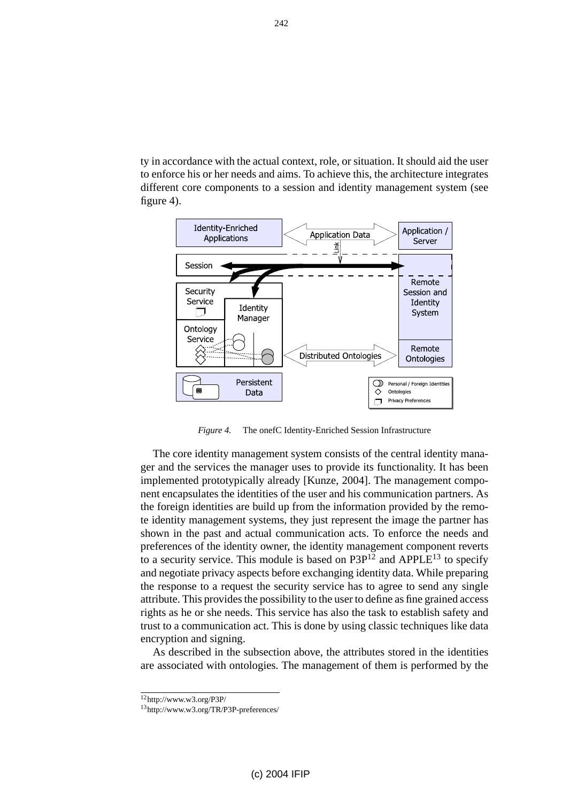ty in accordance with the actual context, role, or situation. It should aid the user to enforce his or her needs and aims. To achieve this, the architecture integrates different core components to a session and identity management system (see figure 4).



*Figure 4.* The onefC Identity-Enriched Session Infrastructure

The core identity management system consists of the central identity manager and the services the manager uses to provide its functionality. It has been implemented prototypically already [Kunze, 2004]. The management component encapsulates the identities of the user and his communication partners. As the foreign identities are build up from the information provided by the remote identity management systems, they just represent the image the partner has shown in the past and actual communication acts. To enforce the needs and preferences of the identity owner, the identity management component reverts to a security service. This module is based on  $P3P^{12}$  and  $APPLE^{13}$  to specify and negotiate privacy aspects before exchanging identity data. While preparing the response to a request the security service has to agree to send any single attribute. This provides the possibility to the user to define as fine grained access rights as he or she needs. This service has also the task to establish safety and trust to a communication act. This is done by using classic techniques like data encryption and signing.

As described in the subsection above, the attributes stored in the identities are associated with ontologies. The management of them is performed by the

<sup>12</sup>http://www.w3.org/P3P/

<sup>13</sup>http://www.w3.org/TR/P3P-preferences/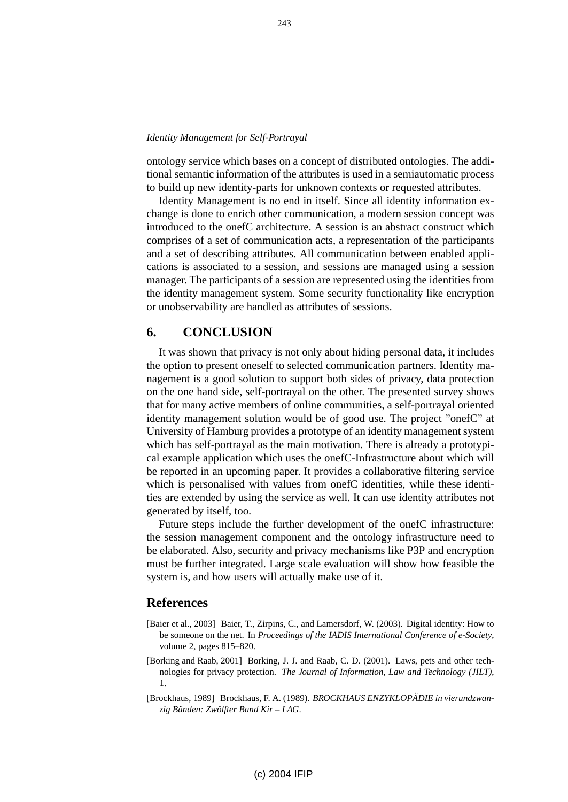#### *Identity Management for Self-Portrayal*

ontology service which bases on a concept of distributed ontologies. The additional semantic information of the attributes is used in a semiautomatic process to build up new identity-parts for unknown contexts or requested attributes.

Identity Management is no end in itself. Since all identity information exchange is done to enrich other communication, a modern session concept was introduced to the onefC architecture. A session is an abstract construct which comprises of a set of communication acts, a representation of the participants and a set of describing attributes. All communication between enabled applications is associated to a session, and sessions are managed using a session manager. The participants of a session are represented using the identities from the identity management system. Some security functionality like encryption or unobservability are handled as attributes of sessions.

### **6. CONCLUSION**

It was shown that privacy is not only about hiding personal data, it includes the option to present oneself to selected communication partners. Identity management is a good solution to support both sides of privacy, data protection on the one hand side, self-portrayal on the other. The presented survey shows that for many active members of online communities, a self-portrayal oriented identity management solution would be of good use. The project "onefC" at University of Hamburg provides a prototype of an identity management system which has self-portrayal as the main motivation. There is already a prototypical example application which uses the onefC-Infrastructure about which will be reported in an upcoming paper. It provides a collaborative filtering service which is personalised with values from onefC identities, while these identities are extended by using the service as well. It can use identity attributes not generated by itself, too.

Future steps include the further development of the onefC infrastructure: the session management component and the ontology infrastructure need to be elaborated. Also, security and privacy mechanisms like P3P and encryption must be further integrated. Large scale evaluation will show how feasible the system is, and how users will actually make use of it.

### **References**

- [Baier et al., 2003] Baier, T., Zirpins, C., and Lamersdorf, W. (2003). Digital identity: How to be someone on the net. In *Proceedings of the IADIS International Conference of e-Society*, volume 2, pages 815–820.
- [Borking and Raab, 2001] Borking, J. J. and Raab, C. D. (2001). Laws, pets and other technologies for privacy protection. *The Journal of Information, Law and Technology (JILT)*, 1.
- [Brockhaus, 1989] Brockhaus, F. A. (1989). *BROCKHAUS ENZYKLOPADIE in vierundzwan- ¨*  $z$ *ig Bänden: Zwölfter Band Kir – LAG.*